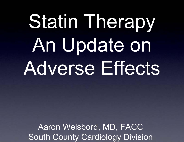# Statin Therapy An Update on Adverse Effects

Aaron Weisbord, MD, FACC South County Cardiology Division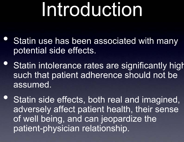# Introduction

- $\bigodot$ Statin use has been associated with many potential side effects.
- $\bullet$ **• Statin intolerance rates are significantly high** such that patient adherence should not be assumed.
- $\bullet$  Statin side effects, both real and imagined, adversely affect patient health, their sense of well being, and can jeopardize the patient-physician relationship.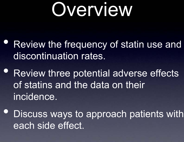# Overview

- $\bullet$  Review the frequency of statin use and discontinuation rates.
- Review three potential adverse effects of statins and the data on their incidence.
- $\bullet$  Discuss ways to approach patients with each side effect.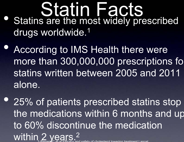- Statin Facts  $\bullet$  Statins are the most widely prescribed drugs worldwide.<sup>1</sup>
- $\bullet$  According to IMS Health there were more than 300,000,000 prescriptions fo statins written between 2005 and 2011 alone.

 $\bullet$  25% of patients prescribed statins stop the medications within 6 months and u p to 60% discontinue the medication within 2 years. 2 1-Baigent C et al Efficacy and safety of cholesterol lowering treatment Lancet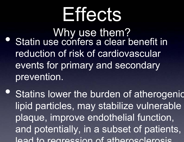# **Effects**

- Why use them? Statin use confers a clear benefit in reduction of risk of cardiovascular events for primary and secondary prevention.
- $\bullet$  Statins lower the burden of atherogenic lipid particles, may stabilize vulnerable plaque, improve endothelial function, and potentially, in a subset of patients, lead to regression of atherosclerosis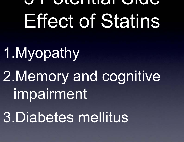## **Sidential Side** Effect of Statins

1.Myopathy 2.Memory and cognitive impairment 3.Diabetes mellitus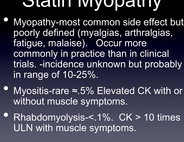## **Statin Myopathy**

- $\bullet$  Myopathy-most common side effect but poorly defined (myalgias, arthralgias, fatigue, malaise). Occur more commonly in practice than in clinical trials. -incidence unknown but probably in range of 10-25%.
- Myositis-rare ≈.5% Elevated CK with or without muscle symptoms.
- Rhabdomyolysis-<.1%. CK > 10 times ULN with muscle symptoms.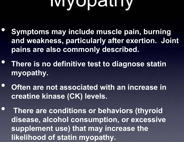## Myopathy

- $\bullet$  **Symptoms may include muscle pain, burning and weakness, particularly after exertion. Joint pains are also commonly described.**
- • **There is no definitive test to diagnose statin myopathy.**
- $\bullet$  **Often are not associated with an increase in creatine kinase (CK) levels.**
- $\bullet$  **There are conditions or behaviors (thyroid disease, alcohol consumption, or excessive supplement use) that may increase the likelihood of statin myopathy.**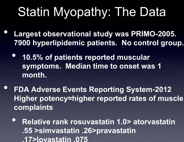## Statin Myopathy: The Data

- $\bigodot$  **Largest observational study was PRIMO-2005. 7900 hyperlipidemic patients. No control group.**
	- $\bullet$  **10.5% of patients reported muscular symptoms. Median time to onset was 1 month.**
- $\bullet$  **FDA Adverse Events Reporting System-2012 Higher potency <sup>≈</sup>higher reported rates of muscle complaints**
	- $\bullet$  **Relative rank rosuvastatin 1.0> atorvastatin .55 >simvastatin .26>pravastatin .17>lovastatin .075**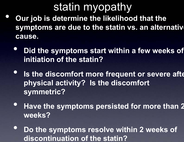## statin myopathy

- $\bullet$  **Our job is determine the likelihood that the symptoms are due to the statin vs. an alternativ ecause.**
	- $\bullet$  **Did the symptoms start within a few weeks of initiation of the statin?**
	- $\bullet$ **• Is the discomfort more frequent or severe after physical activity? Is the discomfort symmetric?**
	- **Have the symptoms persisted for more than 2 weeks?**
	- $\bullet$  **Do the symptoms resolve within 2 weeks of discontinuation of the statin?**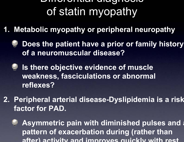#### Differential diagnosis of statin myopathy

**1. Metabolic myopathy or peripheral neuropathy**



- **Is there objective evidence of muscle weakness, fasciculations or abnormal reflexes?**
- **2. Peripheral arterial disease-Dyslipidemia is a risk factor for PAD.**

**Asymmetric pain with diminished pulses and a pattern of exacerbation during (rather than after) activity and improves quickly with rest**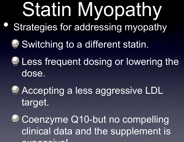# Statin Myopathy

- $\bigodot$ Strategies for addressing myopathy
	- **Switching to a different statin.**
	-

**E** Less frequent dosing or lowering the dose.

**C** Accepting a less aggressive LDL target.



Coenzyme Q10-but no compelling clinical data and the supplement is  $\sim$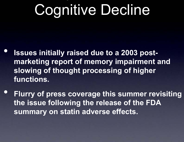## Cognitive Decline

y production and the contract of the contract of the contract of the contract of the contract of the contract o

- $\bullet$  **Issues initially raised due to a 2003 postmarketing report of memory impairment and slowing of thought processing of higher functions.**
- $\bullet$  **Flurry of press coverage this summer revisiting the issue following the release of the FDA summary on statin adverse effects.**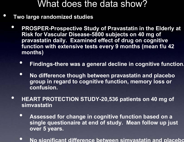#### What does the data show?

**Two large randomized studies**

 $\bullet$ 

- $\bullet$  **PROSPER-Prospective Study of Pravastatin in the Elderly at Risk for Vascular Disease-5800 subjects on 40 mg of pravastatin daily. Examined effect of drug on cognitive function with extensive tests every 9 months (mean f/u 42 months)** 
	- $\bullet$ **Findings-there was a general decline in cognitive function.**
	- $\bullet$  **No difference though between pravastatin and placebo group in regard to cognitive function, memory loss or confusion.**
- • **HEART PROTECTION STUDY-20,536 patients on 40 mg of simvastatin**
	- $\bullet$  **Assessed for change in cognitive function based on a single questionaire at end of study. Mean follow up just over 5 years.**
	- $\bullet$ **No significant difference between simvastatin and placebo**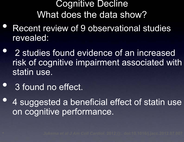### Cognitive Decline What does the data show?

- $\bullet$  Recent review of 9 observational studies revealed:
- $\bullet$  2 studies found evidence of an increased risk of cognitive impairment associated with statin use.
- $\bullet$ 3 found no effect.
- $\bullet$  4 suggested a beneficial effect of statin use on cognitive performance.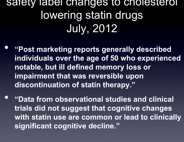## safety label changes to cholesterol lowering statin drugs July, 2012

- $\bullet$  **"Post marketing reports generally described individuals over the age of 50 who experienced notable, but ill defined memory loss or impairment that was reversible upon discontinuation of statin therapy."**
- $\bullet$  **"Data from observational studies and clinical trials did not suggest that cognitive changes with statin use are common or lead to clinically significant cognitive decline."**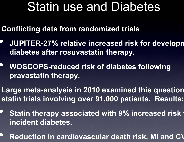## Statin use and Diabetes

- **Conflicting data from randomized trials**
- • **JUPITER-27% relative increased risk for develop m diabetes after rosuvastatin therapy.**
- • **WOSCOPS-reduced risk of diabetes following pravastatin therapy.**
- Large meta-analysis in 2010 examined this question **statin trials involving over 91,000 patients. Results:**
- •**• Statin therapy associated with 9% increased risk formation of the States of States States States States States States States States States States States States States States States States States States States States Sta incident diabetes.**
- •**P** Reduction in cardiovascular death risk, MI and CV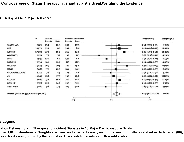#### **e Controversies of Statin Therapy: Title and subTitle B reakWeighing the Evidence**

**diol. 2012;():. doi:10.1016/j.jacc.2012.07.007**



#### **e Legend:**

**iation Between Statin Therapy and Incident Diabetes in 13 Major Cardiovascular Trials s per 1,000 patient-years. Weights are from random-effects analysis. Figure was originally published in Sattar et al. (66); ssion for its use granted by the publisher. CI = confidence interval; OR = odds ratio.**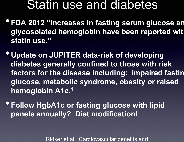### Statin use and diabetes

- •**FDA 2012 "increases in fasting serum glucose an glycosolated hemoglobin have been reported with statin use."**
- **Update on JUPITER data-risk of developing diabetes generally confined to those with risk factors for the disease including: impaired fastin glucose, metabolic syndrome, obesity or raised hemoglobin A1c.1**
- •**Follow HgbA1c or fasting glucose with lipid panels annually? Diet modification!**

Ridker et al. Cardiovascular benefits and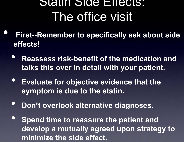## Statin Side Effects: The office visit

- $\bullet$  **First--Remember to specifically ask about side effects!**
	- $\bullet$  **Reassess risk-benefit of the medication and talks this over in detail with your patient.**
	- **Evaluate for objective evidence that the symptom is due to the statin.**
	- $\bullet$ **Don't overlook alternative diagnoses.**
	- $\bullet$  **Spend time to reassure the patient and develop a mutually agreed upon strategy to minimize the side effect.**